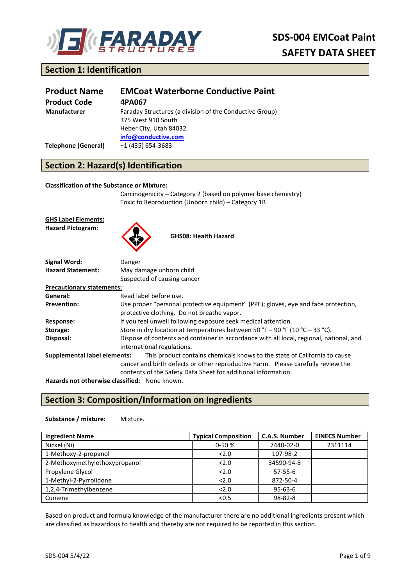

# **SDS-004 EMCoat Paint SAFETY DATA SHEET**

## **Section 1: Identification**

| <b>Product Name</b>        | <b>EMCoat Waterborne Conductive Paint</b>                                                                                      |
|----------------------------|--------------------------------------------------------------------------------------------------------------------------------|
| <b>Product Code</b>        | 4PA067                                                                                                                         |
| Manufacturer               | Faraday Structures (a division of the Conductive Group)<br>375 West 910 South<br>Heber City, Utah 84032<br>info@conductive.com |
| <b>Telephone (General)</b> | +1 (435) 654-3683                                                                                                              |

# **Section 2: Hazard(s) Identification**

#### **Classification of the Substance or Mixture:**

Carcinogenicity – Category 2 (based on polymer base chemistry) Toxic to Reproduction (Unborn child) – Category 1B

**GHS Label Elements: Hazard Pictogram:**



**GHS08: Health Hazard**

| Signal Word:                                  | Danger                                                                                  |  |
|-----------------------------------------------|-----------------------------------------------------------------------------------------|--|
| <b>Hazard Statement:</b>                      | May damage unborn child                                                                 |  |
|                                               | Suspected of causing cancer                                                             |  |
| <b>Precautionary statements:</b>              |                                                                                         |  |
| General:                                      | Read label before use.                                                                  |  |
| <b>Prevention:</b>                            | Use proper "personal protective equipment" (PPE); gloves, eye and face protection,      |  |
|                                               | protective clothing. Do not breathe vapor.                                              |  |
| Response:                                     | If you feel unwell following exposure seek medical attention.                           |  |
| Storage:                                      | Store in dry location at temperatures between 50 °F – 90 °F (10 °C – 33 °C).            |  |
| Disposal:                                     | Dispose of contents and container in accordance with all local, regional, national, and |  |
|                                               | international regulations.                                                              |  |
| Supplemental label elements:                  | This product contains chemicals knows to the state of California to cause               |  |
|                                               | cancer and birth defects or other reproductive harm. Please carefully review the        |  |
|                                               | contents of the Safety Data Sheet for additional information.                           |  |
| Hazards not otherwise classified: None known. |                                                                                         |  |

## **Section 3: Composition/Information on Ingredients**

#### **Substance / mixture:** Mixture.

| <b>Ingredient Name</b>        | <b>Typical Composition</b> | <b>C.A.S. Number</b> | <b>EINECS Number</b> |
|-------------------------------|----------------------------|----------------------|----------------------|
| Nickel (Ni)                   | $0-50%$                    | 7440-02-0            | 2311114              |
| 1-Methoxy-2-propanol          | 2.0                        | 107-98-2             |                      |
| 2-Methoxymethylethoxypropanol | 2.0                        | 34590-94-8           |                      |
| Propylene Glycol              | 2.0                        | $57 - 55 - 6$        |                      |
| 1-Methyl-2-Pyrrolidone        | 2.0                        | 872-50-4             |                      |
| 1,2,4-Trimethylbenzene        | 2.0                        | $95 - 63 - 6$        |                      |
| Cumene                        | < 0.5                      | 98-82-8              |                      |

Based on product and formula knowledge of the manufacturer there are no additional ingredients present which are classified as hazardous to health and thereby are not required to be reported in this section.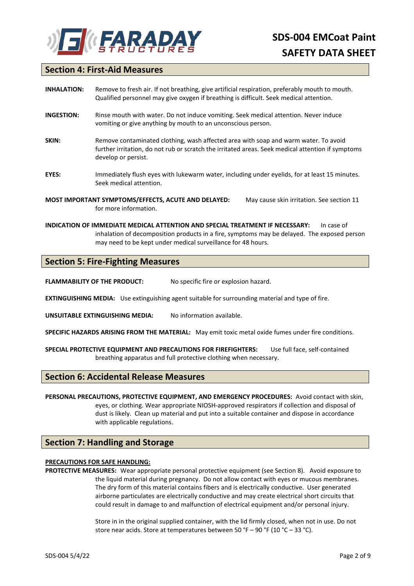

### **Section 4: First-Aid Measures**

| <b>INHALATION:</b> | Remove to fresh air. If not breathing, give artificial respiration, preferably mouth to mouth.<br>Qualified personnel may give oxygen if breathing is difficult. Seek medical attention.                        |  |
|--------------------|-----------------------------------------------------------------------------------------------------------------------------------------------------------------------------------------------------------------|--|
| <b>INGESTION:</b>  | Rinse mouth with water. Do not induce vomiting. Seek medical attention. Never induce<br>vomiting or give anything by mouth to an unconscious person.                                                            |  |
| SKIN:              | Remove contaminated clothing, wash affected area with soap and warm water. To avoid<br>further irritation, do not rub or scratch the irritated areas. Seek medical attention if symptoms<br>develop or persist. |  |
| EYES:              | Immediately flush eyes with lukewarm water, including under eyelids, for at least 15 minutes.<br>Seek medical attention.                                                                                        |  |
|                    | MOST IMPORTANT SYMPTOMS/EFFECTS, ACUTE AND DELAYED:<br>May cause skin irritation. See section 11<br>for more information.                                                                                       |  |

**INDICATION OF IMMEDIATE MEDICAL ATTENTION AND SPECIAL TREATMENT IF NECESSARY:** In case of inhalation of decomposition products in a fire, symptoms may be delayed. The exposed person may need to be kept under medical surveillance for 48 hours.

#### **Section 5: Fire-Fighting Measures**

**FLAMMABILITY OF THE PRODUCT:** No specific fire or explosion hazard.

**EXTINGUISHING MEDIA:** Use extinguishing agent suitable for surrounding material and type of fire.

**UNSUITABLE EXTINGUISHING MEDIA:** No information available.

**SPECIFIC HAZARDS ARISING FROM THE MATERIAL:** May emit toxic metal oxide fumes under fire conditions.

**SPECIAL PROTECTIVE EQUIPMENT AND PRECAUTIONS FOR FIREFIGHTERS:** Use full face, self-contained breathing apparatus and full protective clothing when necessary.

#### **Section 6: Accidental Release Measures**

**PERSONAL PRECAUTIONS, PROTECTIVE EQUIPMENT, AND EMERGENCY PROCEDURES:** Avoid contact with skin, eyes, or clothing. Wear appropriate NIOSH-approved respirators if collection and disposal of dust is likely. Clean up material and put into a suitable container and dispose in accordance with applicable regulations.

#### **Section 7: Handling and Storage**

#### **PRECAUTIONS FOR SAFE HANDLING:**

**PROTECTIVE MEASURES:** Wear appropriate personal protective equipment (see Section 8). Avoid exposure to the liquid material during pregnancy. Do not allow contact with eyes or mucous membranes. The dry form of this material contains fibers and is electrically conductive. User generated airborne particulates are electrically conductive and may create electrical short circuits that could result in damage to and malfunction of electrical equipment and/or personal injury.

> Store in in the original supplied container, with the lid firmly closed, when not in use. Do not store near acids. Store at temperatures between 50 °F – 90 °F (10 °C – 33 °C).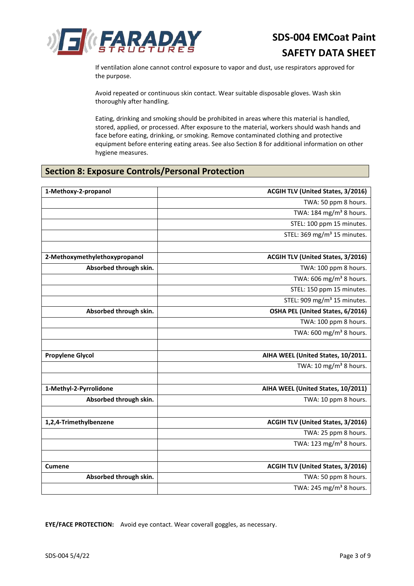

If ventilation alone cannot control exposure to vapor and dust, use respirators approved for the purpose.

Avoid repeated or continuous skin contact. Wear suitable disposable gloves. Wash skin thoroughly after handling.

Eating, drinking and smoking should be prohibited in areas where this material is handled, stored, applied, or processed. After exposure to the material, workers should wash hands and face before eating, drinking, or smoking. Remove contaminated clothing and protective equipment before entering eating areas. See also Section 8 for additional information on other hygiene measures.

## **Section 8: Exposure Controls/Personal Protection**

| 1-Methoxy-2-propanol          | ACGIH TLV (United States, 3/2016)        |
|-------------------------------|------------------------------------------|
|                               | TWA: 50 ppm 8 hours.                     |
|                               | TWA: 184 mg/m <sup>3</sup> 8 hours.      |
|                               | STEL: 100 ppm 15 minutes.                |
|                               | STEL: 369 mg/m <sup>3</sup> 15 minutes.  |
|                               |                                          |
| 2-Methoxymethylethoxypropanol | <b>ACGIH TLV (United States, 3/2016)</b> |
| Absorbed through skin.        | TWA: 100 ppm 8 hours.                    |
|                               | TWA: 606 mg/m <sup>3</sup> 8 hours.      |
|                               | STEL: 150 ppm 15 minutes.                |
|                               | STEL: 909 mg/m <sup>3</sup> 15 minutes.  |
| Absorbed through skin.        | OSHA PEL (United States, 6/2016)         |
|                               | TWA: 100 ppm 8 hours.                    |
|                               | TWA: 600 mg/m <sup>3</sup> 8 hours.      |
|                               |                                          |
| <b>Propylene Glycol</b>       | AIHA WEEL (United States, 10/2011.       |
|                               | TWA: 10 mg/m <sup>3</sup> 8 hours.       |
|                               |                                          |
| 1-Methyl-2-Pyrrolidone        | AIHA WEEL (United States, 10/2011)       |
| Absorbed through skin.        | TWA: 10 ppm 8 hours.                     |
|                               |                                          |
| 1,2,4-Trimethylbenzene        | ACGIH TLV (United States, 3/2016)        |
|                               | TWA: 25 ppm 8 hours.                     |
|                               | TWA: 123 mg/m <sup>3</sup> 8 hours.      |
|                               |                                          |
| <b>Cumene</b>                 | <b>ACGIH TLV (United States, 3/2016)</b> |
| Absorbed through skin.        | TWA: 50 ppm 8 hours.                     |
|                               | TWA: 245 mg/m <sup>3</sup> 8 hours.      |
|                               |                                          |

**EYE/FACE PROTECTION:** Avoid eye contact. Wear coverall goggles, as necessary.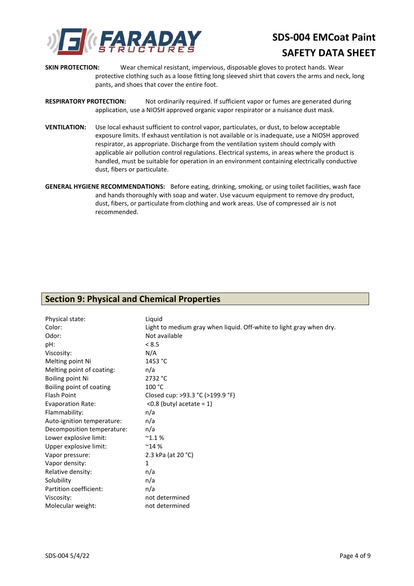

# **SDS-004 EMCoat Paint SAFETY DATA SHEET**

- **SKIN PROTECTION:** Wear chemical resistant, impervious, disposable gloves to protect hands. Wear protective clothing such as a loose fitting long sleeved shirt that covers the arms and neck, long pants, and shoes that cover the entire foot.
- **RESPIRATORY PROTECTION:** Not ordinarily required. If sufficient vapor or fumes are generated during application, use a NIOSH approved organic vapor respirator or a nuisance dust mask.
- **VENTILATION:** Use local exhaust sufficient to control vapor, particulates, or dust, to below acceptable exposure limits. If exhaust ventilation is not available or is inadequate, use a NIOSH approved respirator, as appropriate. Discharge from the ventilation system should comply with applicable air pollution control regulations. Electrical systems, in areas where the product is handled, must be suitable for operation in an environment containing electrically conductive dust, fibers or particulate.
- **GENERAL HYGIENE RECOMMENDATIONS:** Before eating, drinking, smoking, or using toilet facilities, wash face and hands thoroughly with soap and water. Use vacuum equipment to remove dry product, dust, fibers, or particulate from clothing and work areas. Use of compressed air is not recommended.

#### **Section 9: Physical and Chemical Properties**

| Physical state:            | Liquid                                                              |
|----------------------------|---------------------------------------------------------------------|
| Color:                     | Light to medium gray when liquid. Off-white to light gray when dry. |
| Odor:                      | Not available                                                       |
| pH:                        | < 8.5                                                               |
| Viscosity:                 | N/A                                                                 |
| Melting point Ni           | 1453 °C                                                             |
| Melting point of coating:  | n/a                                                                 |
| Boiling point Ni           | 2732 °C                                                             |
| Boiling point of coating   | 100 °C                                                              |
| <b>Flash Point</b>         | Closed cup: >93.3 °C (>199.9 °F)                                    |
| <b>Evaporation Rate:</b>   | $<$ 0.8 (butyl acetate = 1)                                         |
| Flammability:              | n/a                                                                 |
| Auto-ignition temperature: | n/a                                                                 |
| Decomposition temperature: | n/a                                                                 |
| Lower explosive limit:     | $^{\sim}$ 1.1%                                                      |
| Upper explosive limit:     | $^{\sim}$ 14 %                                                      |
| Vapor pressure:            | 2.3 kPa (at 20 °C)                                                  |
| Vapor density:             | $\mathbf{1}$                                                        |
| Relative density:          | n/a                                                                 |
| Solubility                 | n/a                                                                 |
| Partition coefficient:     | n/a                                                                 |
| Viscosity:                 | not determined                                                      |
| Molecular weight:          | not determined                                                      |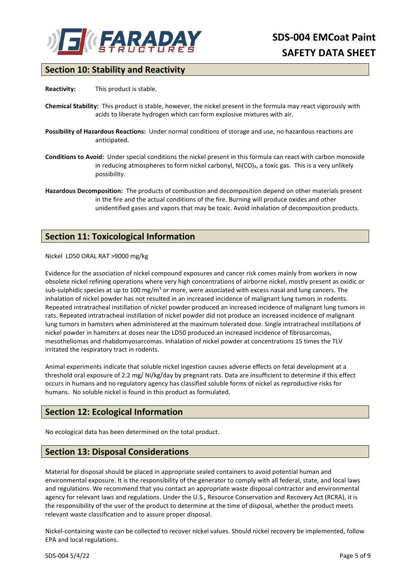

## **Section 10: Stability and Reactivity**

**Reactivity:** This product is stable.

- **Chemical Stability:** This product is stable, however, the nickel present in the formula may react vigorously with acids to liberate hydrogen which can form explosive mixtures with air.
- **Possibility of Hazardous Reactions:** Under normal conditions of storage and use, no hazardous reactions are anticipated.
- **Conditions to Avoid:** Under special conditions the nickel present in this formula can react with carbon monoxide in reducing atmospheres to form nickel carbonyl, Ni(CO)4, a toxic gas. This is a very unlikely possibility.
- **Hazardous Decomposition:** The products of combustion and decomposition depend on other materials present in the fire and the actual conditions of the fire. Burning will produce oxides and other unidentified gases and vapors that may be toxic. Avoid inhalation of decomposition products.

## **Section 11: Toxicological Information**

Nickel LD50 ORAL RAT >9000 mg/kg

Evidence for the association of nickel compound exposures and cancer risk comes mainly from workers in now obsolete nickel refining operations where very high concentrations of airborne nickel, mostly present as oxidic or sub-sulphidic species at up to 100 mg/m<sup>3</sup> or more, were associated with excess nasal and lung cancers. The inhalation of nickel powder has not resulted in an increased incidence of malignant lung tumors in rodents. Repeated intratracheal instillation of nickel powder produced an increased incidence of malignant lung tumors in rats. Repeated intratracheal instillation of nickel powder did not produce an increased incidence of malignant lung tumors in hamsters when administered at the maximum tolerated dose. Single intratracheal instillations of nickel powder in hamsters at doses near the LD50 produced an increased incidence of fibrosarcomas, mesotheliomas and rhabdomyosarcomas. Inhalation of nickel powder at concentrations 15 times the TLV irritated the respiratory tract in rodents.

Animal experiments indicate that soluble nickel ingestion causes adverse effects on fetal development at a threshold oral exposure of 2.2 mg/ Ni/kg/day by pregnant rats. Data are insufficient to determine if this effect occurs in humans and no regulatory agency has classified soluble forms of nickel as reproductive risks for humans. No soluble nickel is found in this product as formulated.

## **Section 12: Ecological Information**

No ecological data has been determined on the total product.

#### **Section 13: Disposal Considerations**

Material for disposal should be placed in appropriate sealed containers to avoid potential human and environmental exposure. It is the responsibility of the generator to comply with all federal, state, and local laws and regulations. We recommend that you contact an appropriate waste disposal contractor and environmental agency for relevant laws and regulations. Under the U.S., Resource Conservation and Recovery Act (RCRA), it is the responsibility of the user of the product to determine at the time of disposal, whether the product meets relevant waste classification and to assure proper disposal.

Nickel-containing waste can be collected to recover nickel values. Should nickel recovery be implemented, follow EPA and local regulations.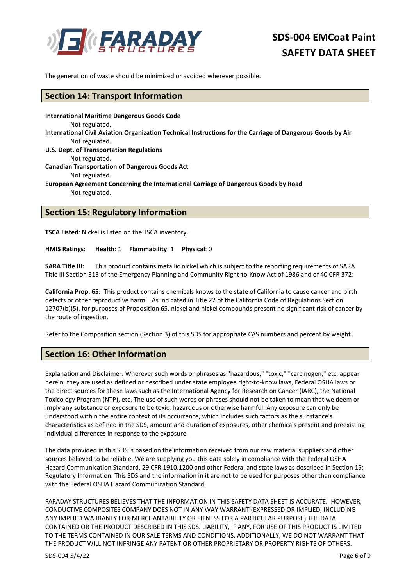

The generation of waste should be minimized or avoided wherever possible.

#### **Section 14: Transport Information**

**International Maritime Dangerous Goods Code**  Not regulated. **International Civil Aviation Organization Technical Instructions for the Carriage of Dangerous Goods by Air**  Not regulated. **U.S. Dept. of Transportation Regulations**  Not regulated. **Canadian Transportation of Dangerous Goods Act**  Not regulated. **European Agreement Concerning the International Carriage of Dangerous Goods by Road**  Not regulated.

#### **Section 15: Regulatory Information**

**TSCA Listed**: Nickel is listed on the TSCA inventory.

**HMIS Ratings**: **Health**: 1 **Flammability**: 1 **Physical**: 0

**SARA Title III:** This product contains metallic nickel which is subject to the reporting requirements of SARA Title III Section 313 of the Emergency Planning and Community Right-to-Know Act of 1986 and of 40 CFR 372:

**California Prop. 65:** This product contains chemicals knows to the state of California to cause cancer and birth defects or other reproductive harm. As indicated in Title 22 of the California Code of Regulations Section 12707(b)(5), for purposes of Proposition 65, nickel and nickel compounds present no significant risk of cancer by the route of ingestion.

Refer to the Composition section (Section 3) of this SDS for appropriate CAS numbers and percent by weight.

#### **Section 16: Other Information**

Explanation and Disclaimer: Wherever such words or phrases as "hazardous," "toxic," "carcinogen," etc. appear herein, they are used as defined or described under state employee right-to-know laws, Federal OSHA laws or the direct sources for these laws such as the International Agency for Research on Cancer (IARC), the National Toxicology Program (NTP), etc. The use of such words or phrases should not be taken to mean that we deem or imply any substance or exposure to be toxic, hazardous or otherwise harmful. Any exposure can only be understood within the entire context of its occurrence, which includes such factors as the substance's characteristics as defined in the SDS, amount and duration of exposures, other chemicals present and preexisting individual differences in response to the exposure.

The data provided in this SDS is based on the information received from our raw material suppliers and other sources believed to be reliable. We are supplying you this data solely in compliance with the Federal OSHA Hazard Communication Standard, 29 CFR 1910.1200 and other Federal and state laws as described in Section 15: Regulatory Information. This SDS and the information in it are not to be used for purposes other than compliance with the Federal OSHA Hazard Communication Standard.

FARADAY STRUCTURES BELIEVES THAT THE INFORMATION IN THIS SAFETY DATA SHEET IS ACCURATE. HOWEVER, CONDUCTIVE COMPOSITES COMPANY DOES NOT IN ANY WAY WARRANT (EXPRESSED OR IMPLIED, INCLUDING ANY IMPLIED WARRANTY FOR MERCHANTABILITY OR FITNESS FOR A PARTICULAR PURPOSE) THE DATA CONTAINED OR THE PRODUCT DESCRIBED IN THIS SDS. LIABILITY, IF ANY, FOR USE OF THIS PRODUCT IS LIMITED TO THE TERMS CONTAINED IN OUR SALE TERMS AND CONDITIONS. ADDITIONALLY, WE DO NOT WARRANT THAT THE PRODUCT WILL NOT INFRINGE ANY PATENT OR OTHER PROPRIETARY OR PROPERTY RIGHTS OF OTHERS.